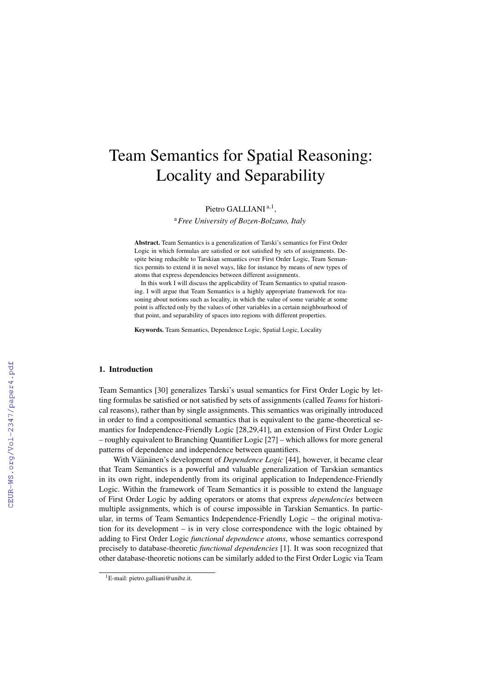# Team Semantics for Spatial Reasoning: Locality and Separability

Pietro GALLIANI<sup>a,1</sup>,

<sup>a</sup>*Free University of Bozen-Bolzano, Italy*

Abstract. Team Semantics is a generalization of Tarski's semantics for First Order Logic in which formulas are satisfied or not satisfied by sets of assignments. Despite being reducible to Tarskian semantics over First Order Logic, Team Semantics permits to extend it in novel ways, like for instance by means of new types of atoms that express dependencies between different assignments.

In this work I will discuss the applicability of Team Semantics to spatial reasoning. I will argue that Team Semantics is a highly appropriate framework for reasoning about notions such as locality, in which the value of some variable at some point is affected only by the values of other variables in a certain neighbourhood of that point, and separability of spaces into regions with different properties.

Keywords. Team Semantics, Dependence Logic, Spatial Logic, Locality

#### 1. Introduction

Team Semantics [30] generalizes Tarski's usual semantics for First Order Logic by letting formulas be satisfied or not satisfied by sets of assignments (called *Teams* for historical reasons), rather than by single assignments. This semantics was originally introduced in order to find a compositional semantics that is equivalent to the game-theoretical semantics for Independence-Friendly Logic [28,29,41], an extension of First Order Logic – roughly equivalent to Branching Quantifier Logic [27] – which allows for more general patterns of dependence and independence between quantifiers.

With Väänänen's development of *Dependence Logic* [44], however, it became clear that Team Semantics is a powerful and valuable generalization of Tarskian semantics in its own right, independently from its original application to Independence-Friendly Logic. Within the framework of Team Semantics it is possible to extend the language of First Order Logic by adding operators or atoms that express *dependencies* between multiple assignments, which is of course impossible in Tarskian Semantics. In particular, in terms of Team Semantics Independence-Friendly Logic – the original motivation for its development – is in very close correspondence with the logic obtained by adding to First Order Logic *functional dependence atoms*, whose semantics correspond precisely to database-theoretic *functional dependencies* [1]. It was soon recognized that other database-theoretic notions can be similarly added to the First Order Logic via Team

<sup>&</sup>lt;sup>1</sup>E-mail: pietro.galliani@unibz.it.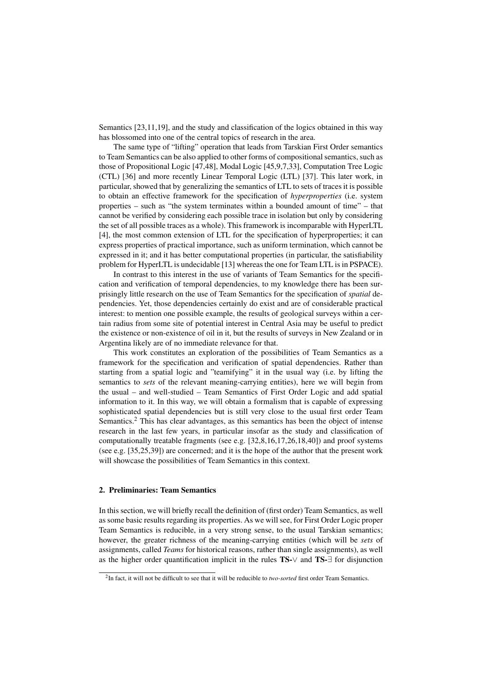Semantics [23,11,19], and the study and classification of the logics obtained in this way has blossomed into one of the central topics of research in the area.

The same type of "lifting" operation that leads from Tarskian First Order semantics to Team Semantics can be also applied to other forms of compositional semantics, such as those of Propositional Logic [47,48], Modal Logic [45,9,7,33], Computation Tree Logic (CTL) [36] and more recently Linear Temporal Logic (LTL) [37]. This later work, in particular, showed that by generalizing the semantics of LTL to sets of traces it is possible to obtain an effective framework for the specification of *hyperproperties* (i.e. system properties – such as "the system terminates within a bounded amount of time" – that cannot be verified by considering each possible trace in isolation but only by considering the set of all possible traces as a whole). This framework is incomparable with HyperLTL [4], the most common extension of LTL for the specification of hyperproperties; it can express properties of practical importance, such as uniform termination, which cannot be expressed in it; and it has better computational properties (in particular, the satisfiability problem for HyperLTL is undecidable [13] whereas the one for Team LTL is in PSPACE).

In contrast to this interest in the use of variants of Team Semantics for the specification and verification of temporal dependencies, to my knowledge there has been surprisingly little research on the use of Team Semantics for the specification of *spatial* dependencies. Yet, those dependencies certainly do exist and are of considerable practical interest: to mention one possible example, the results of geological surveys within a certain radius from some site of potential interest in Central Asia may be useful to predict the existence or non-existence of oil in it, but the results of surveys in New Zealand or in Argentina likely are of no immediate relevance for that.

This work constitutes an exploration of the possibilities of Team Semantics as a framework for the specification and verification of spatial dependencies. Rather than starting from a spatial logic and "teamifying" it in the usual way (i.e. by lifting the semantics to *sets* of the relevant meaning-carrying entities), here we will begin from the usual – and well-studied – Team Semantics of First Order Logic and add spatial information to it. In this way, we will obtain a formalism that is capable of expressing sophisticated spatial dependencies but is still very close to the usual first order Team Semantics.<sup>2</sup> This has clear advantages, as this semantics has been the object of intense research in the last few years, in particular insofar as the study and classification of computationally treatable fragments (see e.g. [32,8,16,17,26,18,40]) and proof systems (see e.g. [35,25,39]) are concerned; and it is the hope of the author that the present work will showcase the possibilities of Team Semantics in this context.

## 2. Preliminaries: Team Semantics

In this section, we will briefly recall the definition of (first order) Team Semantics, as well as some basic results regarding its properties. As we will see, for First Order Logic proper Team Semantics is reducible, in a very strong sense, to the usual Tarskian semantics; however, the greater richness of the meaning-carrying entities (which will be *sets* of assignments, called *Teams* for historical reasons, rather than single assignments), as well as the higher order quantification implicit in the rules TS-∨ and TS-∃ for disjunction

<sup>2</sup> In fact, it will not be difficult to see that it will be reducible to *two-sorted* first order Team Semantics.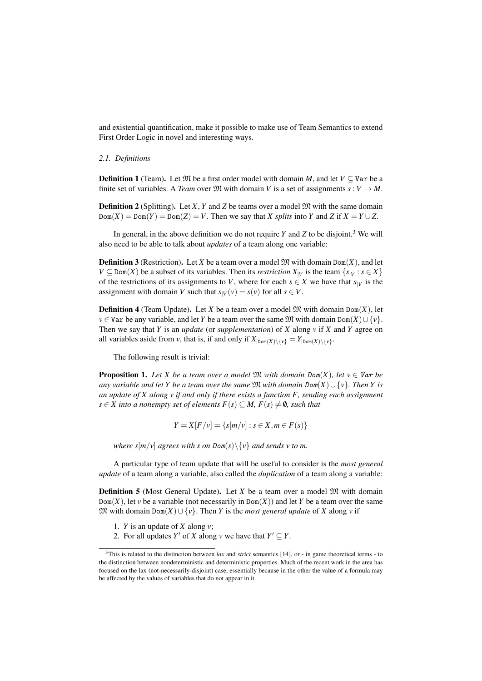and existential quantification, make it possible to make use of Team Semantics to extend First Order Logic in novel and interesting ways.

#### *2.1. Definitions*

**Definition 1** (Team). Let  $\mathfrak{M}$  be a first order model with domain *M*, and let  $V \subseteq$  Var be a finite set of variables. A *Team* over  $\mathfrak{M}$  with domain *V* is a set of assignments  $s : V \to M$ .

**Definition 2** (Splitting). Let *X*, *Y* and *Z* be teams over a model  $\mathfrak{M}$  with the same domain  $Dom(X) = Dom(Y) = Dom(Z) = V$ . Then we say that *X splits* into *Y* and *Z* if  $X = Y \cup Z$ .

In general, in the above definition we do not require  $Y$  and  $Z$  to be disjoint.<sup>3</sup> We will also need to be able to talk about *updates* of a team along one variable:

**Definition 3** (Restriction). Let *X* be a team over a model  $\mathfrak{M}$  with domain  $Dom(X)$ , and let *V* ⊂ Dom(*X*) be a subset of its variables. Then its *restriction*  $X_{|V}$  is the team { $s_{|V}$  :  $s \in X$ } of the restrictions of its assignments to *V*, where for each  $s \in X$  we have that  $s|_V$  is the assignment with domain *V* such that  $s_{|V}(v) = s(v)$  for all  $s \in V$ .

**Definition 4** (Team Update). Let *X* be a team over a model  $\mathfrak{M}$  with domain  $Dom(X)$ , let *v* ∈ Var be any variable, and let *Y* be a team over the same M with domain Dom(*X*)∪ {*v*}. Then we say that *Y* is an *update* (or *supplementation*) of *X* along *v* if *X* and *Y* agree on all variables aside from *v*, that is, if and only if  $X_{|{\text{Dom}}(X)\setminus\{v\}} = Y_{|{\text{Dom}}(X)\setminus\{v\}}$ .

The following result is trivial:

**Proposition 1.** Let X be a team over a model  $\mathfrak{M}$  with domain Dom(X), let  $v \in Var$  be *any variable and let Y be a team over the same*  $\mathfrak{M}$  *with domain Dom(X)* $\cup \{v\}$ *. Then Y is an update of X along v if and only if there exists a function F, sending each assignment s* ∈ *X* into a nonempty set of elements  $F(s)$  ⊂ *M*,  $F(s) \neq \emptyset$ , such that

$$
Y = X[F/v] = \{s[m/v] : s \in X, m \in F(s)\}
$$

*where*  $s[m/v]$  *agrees with s on Dom(s)* $\setminus \set{v}$  *and sends v to m.* 

A particular type of team update that will be useful to consider is the *most general update* of a team along a variable, also called the *duplication* of a team along a variable:

**Definition 5** (Most General Update). Let *X* be a team over a model  $\mathfrak{M}$  with domain  $Dom(X)$ , let *v* be a variable (not necessarily in  $Dom(X)$ ) and let *Y* be a team over the same  $\mathfrak{M}$  with domain Dom(*X*)∪{*v*}. Then *Y* is the *most general update* of *X* along *v* if

- 1. *Y* is an update of *X* along *v*;
- 2. For all updates *Y'* of *X* along *v* we have that  $Y' \subseteq Y$ .

<sup>3</sup>This is related to the distinction between *lax* and *strict* semantics [14], or - in game theoretical terms - to the distinction between nondeterministic and deterministic properties. Much of the recent work in the area has focused on the lax (not-necessarily-disjoint) case, essentially because in the other the value of a formula may be affected by the values of variables that do not appear in it.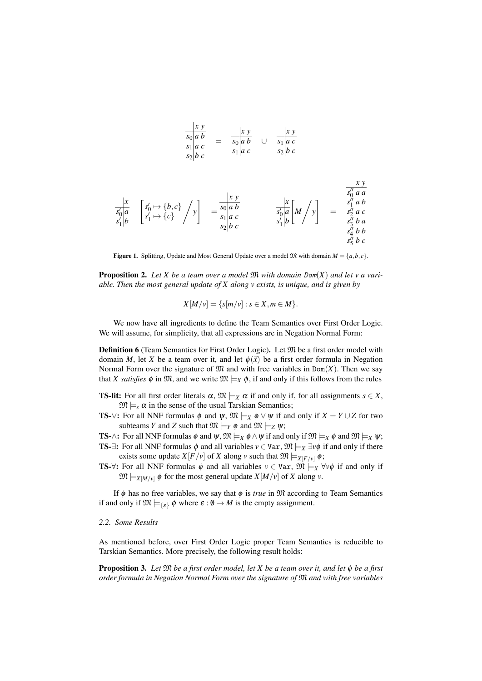$$
\frac{\begin{array}{rcl}\nx y \\
\hline\ns_0 a b \\
s_1 a c \\
s_2 b c\n\end{array} = \frac{\begin{array}{rcl}\nx y \\
\hline\ns_0 a b \\
s_1 a c \\
s_1 a c\n\end{array} \quad \cup \quad \frac{\begin{array}{rcl}\nx y \\
\hline\ns_1 a c \\
s_2 b c\n\end{array}
$$

$$
\frac{x}{s_0''a}
$$
\n
$$
\frac{x}{s_0''a}
$$
\n
$$
\frac{s_0''}{s_1'b}
$$
\n
$$
\frac{x}{s_1''b}
$$
\n
$$
\frac{x}{s_0''a}
$$
\n
$$
\frac{x}{s_0''a}
$$
\n
$$
\frac{x}{s_0''a}
$$
\n
$$
\frac{x}{s_0''a}
$$
\n
$$
\frac{x}{s_0''a}
$$
\n
$$
\frac{x}{s_0''a}
$$
\n
$$
\frac{x}{s_0''a}
$$
\n
$$
\frac{x}{s_0''a}
$$
\n
$$
\frac{x}{s_0''a}
$$
\n
$$
\frac{x}{s_0''a}
$$
\n
$$
\frac{x}{s_0''a}
$$
\n
$$
\frac{x}{s_0''a}
$$
\n
$$
\frac{x}{s_0''a}
$$
\n
$$
\frac{x}{s_0''a}
$$
\n
$$
\frac{x}{s_0''a}
$$
\n
$$
\frac{x}{s_0''a}
$$
\n
$$
\frac{x}{s_0''a}
$$
\n
$$
\frac{x}{s_0''a}
$$
\n
$$
\frac{x}{s_0''a}
$$
\n
$$
\frac{x}{s_0''a}
$$
\n
$$
\frac{x}{s_0''a}
$$
\n
$$
\frac{x}{s_0''a}
$$
\n
$$
\frac{x}{s_0''a}
$$

**Figure 1.** Splitting, Update and Most General Update over a model  $\mathfrak{M}$  with domain  $M = \{a, b, c\}$ .

**Proposition 2.** Let X be a team over a model  $\mathfrak{M}$  with domain Dom(X) and let v a vari*able. Then the most general update of X along v exists, is unique, and is given by*

$$
X[M/v] = \{s[m/v] : s \in X, m \in M\}.
$$

We now have all ingredients to define the Team Semantics over First Order Logic. We will assume, for simplicity, that all expressions are in Negation Normal Form:

Definition 6 (Team Semantics for First Order Logic). Let  $\mathfrak{M}$  be a first order model with domain *M*, let *X* be a team over it, and let  $\phi(\vec{x})$  be a first order formula in Negation Normal Form over the signature of  $\mathfrak{M}$  and with free variables in  $Dom(X)$ . Then we say that *X satisfies*  $\phi$  in  $\mathfrak{M}$ , and we write  $\mathfrak{M} \models_X \phi$ , if and only if this follows from the rules

**TS-lit:** For all first order literals  $\alpha$ ,  $\mathfrak{M} \models_X \alpha$  if and only if, for all assignments  $s \in X$ ,  $\mathfrak{M} \models_{s} \alpha$  in the sense of the usual Tarskian Semantics;

TS-∨: For all NNF formulas  $\phi$  and  $\psi$ ,  $\mathfrak{M} \models_X \phi \lor \psi$  if and only if  $X = Y \cup Z$  for two subteams *Y* and *Z* such that  $\mathfrak{M} \models_Y \phi$  and  $\mathfrak{M} \models_Z \psi$ ;

**TS-**∧: For all NNF formulas  $\phi$  and  $\psi$ ,  $\mathfrak{M} \models_X \phi \land \psi$  if and only if  $\mathfrak{M} \models_X \phi$  and  $\mathfrak{M} \models_X \psi$ ;

**TS-** $\exists$ : For all NNF formulas  $\phi$  and all variables  $v \in \text{Var}$ ,  $\mathfrak{M} \models_X \exists v \phi$  if and only if there exists some update *X*[*F*/*v*] of *X* along *v* such that  $\mathfrak{M} \models_{X[F/\nu]} \phi$ ;

TS- $\forall$ : For all NNF formulas  $\phi$  and all variables  $v \in \text{Var}$ ,  $\mathfrak{M} \models_X \forall v \phi$  if and only if  $\mathfrak{M} \models_{X[M/\nu]} \phi$  for the most general update  $X[M/\nu]$  of *X* along  $\nu$ .

If  $\phi$  has no free variables, we say that  $\phi$  is *true* in  $\mathfrak{M}$  according to Team Semantics if and only if  $\mathfrak{M} \models_{\{\varepsilon\}} \phi$  where  $\varepsilon : \emptyset \to M$  is the empty assignment.

### *2.2. Some Results*

As mentioned before, over First Order Logic proper Team Semantics is reducible to Tarskian Semantics. More precisely, the following result holds:

Proposition 3. *Let* M *be a first order model, let X be a team over it, and let* φ *be a first order formula in Negation Normal Form over the signature of* M *and with free variables*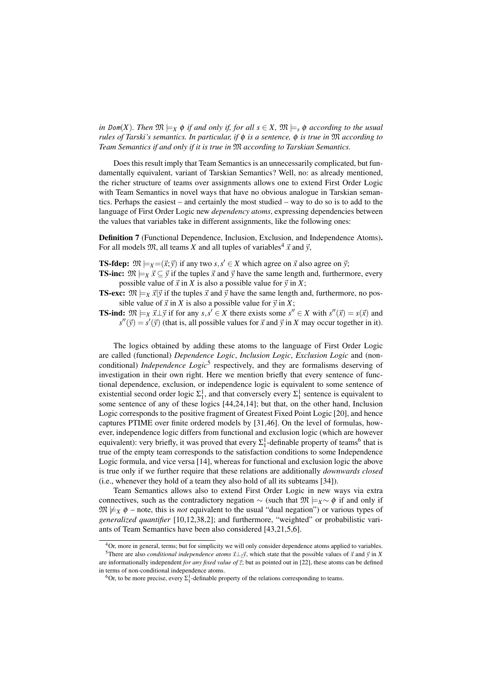*in* Dom(*X*)*. Then*  $\mathfrak{M} \models_X \phi$  *if and only if, for all*  $s \in X$ *,*  $\mathfrak{M} \models_s \phi$  *according to the usual rules of Tarski's semantics. In particular, if* φ *is a sentence,* φ *is true in* M *according to Team Semantics if and only if it is true in* M *according to Tarskian Semantics.*

Does this result imply that Team Semantics is an unnecessarily complicated, but fundamentally equivalent, variant of Tarskian Semantics? Well, no: as already mentioned, the richer structure of teams over assignments allows one to extend First Order Logic with Team Semantics in novel ways that have no obvious analogue in Tarskian semantics. Perhaps the easiest – and certainly the most studied – way to do so is to add to the language of First Order Logic new *dependency atoms*, expressing dependencies between the values that variables take in different assignments, like the following ones:

Definition 7 (Functional Dependence, Inclusion, Exclusion, and Independence Atoms). For all models  $\mathfrak{M}$ , all teams *X* and all tuples of variables<sup>4</sup>  $\vec{x}$  and  $\vec{y}$ ,

**TS-fdep:**  $\mathfrak{M} \models_X = (\vec{x}; \vec{y})$  if any two  $s, s' \in X$  which agree on  $\vec{x}$  also agree on  $\vec{y}$ ;

**TS-inc:**  $\mathfrak{M} \models_X \vec{x} \subseteq \vec{y}$  if the tuples  $\vec{x}$  and  $\vec{y}$  have the same length and, furthermore, every possible value of  $\vec{x}$  in *X* is also a possible value for  $\vec{y}$  in *X*;

**TS-exc:**  $\mathfrak{M} \models_X \vec{x}$  *y* if the tuples  $\vec{x}$  and  $\vec{y}$  have the same length and, furthermore, no possible value of  $\vec{x}$  in *X* is also a possible value for  $\vec{y}$  in *X*;

**TS-ind:**  $\mathfrak{M} \models_X \vec{x} \perp \vec{y}$  if for any  $s, s' \in X$  there exists some  $s'' \in X$  with  $s''(\vec{x}) = s(\vec{x})$  and  $s''(\vec{y}) = s'(\vec{y})$  (that is, all possible values for  $\vec{x}$  and  $\vec{y}$  in *X* may occur together in it).

The logics obtained by adding these atoms to the language of First Order Logic are called (functional) *Dependence Logic*, *Inclusion Logic*, *Exclusion Logic* and (nonconditional) *Independence Logic*<sup>5</sup> respectively, and they are formalisms deserving of investigation in their own right. Here we mention briefly that every sentence of functional dependence, exclusion, or independence logic is equivalent to some sentence of existential second order logic  $\Sigma_1^1$ , and that conversely every  $\Sigma_1^1$  sentence is equivalent to some sentence of any of these logics [44,24,14]; but that, on the other hand, Inclusion Logic corresponds to the positive fragment of Greatest Fixed Point Logic [20], and hence captures PTIME over finite ordered models by [31,46]. On the level of formulas, however, independence logic differs from functional and exclusion logic (which are however equivalent): very briefly, it was proved that every  $\Sigma_1^1$ -definable property of teams<sup>6</sup> that is true of the empty team corresponds to the satisfaction conditions to some Independence Logic formula, and vice versa [14], whereas for functional and exclusion logic the above is true only if we further require that these relations are additionally *downwards closed* (i.e., whenever they hold of a team they also hold of all its subteams [34]).

Team Semantics allows also to extend First Order Logic in new ways via extra connectives, such as the contradictory negation  $\sim$  (such that  $\mathfrak{M} \models_{X} \sim \phi$  if and only if  $\mathfrak{M} \not\models_X \phi$  – note, this is *not* equivalent to the usual "dual negation") or various types of *generalized quantifier* [10,12,38,2]; and furthermore, "weighted" or probabilistic variants of Team Semantics have been also considered [43,21,5,6].

 $4$ Or, more in general, terms; but for simplicity we will only consider dependence atoms applied to variables. <sup>5</sup>There are also *conditional independence atoms*  $\vec{x} \perp_{\vec{z}} \vec{y}$ , which state that the possible values of  $\vec{x}$  and  $\vec{y}$  in *X* are informationally independent *for any fixed value of*  $\vec{z}$ ; but as pointed out in [22], these atoms can be defined in terms of non-conditional independence atoms.

<sup>&</sup>lt;sup>6</sup>Or, to be more precise, every  $\Sigma_1^1$ -definable property of the relations corresponding to teams.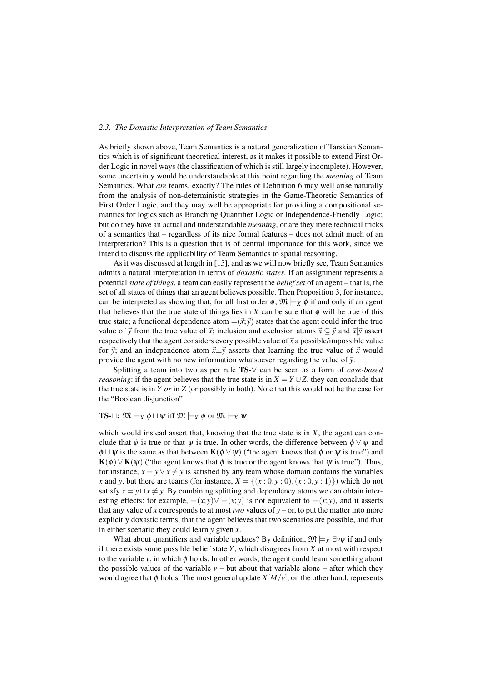#### *2.3. The Doxastic Interpretation of Team Semantics*

As briefly shown above, Team Semantics is a natural generalization of Tarskian Semantics which is of significant theoretical interest, as it makes it possible to extend First Order Logic in novel ways (the classification of which is still largely incomplete). However, some uncertainty would be understandable at this point regarding the *meaning* of Team Semantics. What *are* teams, exactly? The rules of Definition 6 may well arise naturally from the analysis of non-deterministic strategies in the Game-Theoretic Semantics of First Order Logic, and they may well be appropriate for providing a compositional semantics for logics such as Branching Quantifier Logic or Independence-Friendly Logic; but do they have an actual and understandable *meaning*, or are they mere technical tricks of a semantics that – regardless of its nice formal features – does not admit much of an interpretation? This is a question that is of central importance for this work, since we intend to discuss the applicability of Team Semantics to spatial reasoning.

As it was discussed at length in [15], and as we will now briefly see, Team Semantics admits a natural interpretation in terms of *doxastic states*. If an assignment represents a potential *state of things*, a team can easily represent the *belief set* of an agent – that is, the set of all states of things that an agent believes possible. Then Proposition 3, for instance, can be interpreted as showing that, for all first order  $\phi$ ,  $\mathfrak{M} \models_X \phi$  if and only if an agent that believes that the true state of things lies in *X* can be sure that  $\phi$  will be true of this true state; a functional dependence atom  $=({\vec{x}};{\vec{y}})$  states that the agent could infer the true value of  $\vec{y}$  from the true value of  $\vec{x}$ ; inclusion and exclusion atoms  $\vec{x} \subseteq \vec{y}$  and  $\vec{x}|\vec{y}$  assert respectively that the agent considers every possible value of  $\vec{x}$  a possible/impossible value for  $\vec{y}$ ; and an independence atom  $\vec{x} \perp \vec{y}$  asserts that learning the true value of  $\vec{x}$  would provide the agent with no new information whatsoever regarding the value of  $\vec{y}$ .

Splitting a team into two as per rule TS-∨ can be seen as a form of *case-based reasoning*: if the agent believes that the true state is in  $X = Y \cup Z$ , they can conclude that the true state is in *Y or* in *Z* (or possibly in both). Note that this would not be the case for the "Boolean disjunction"

## **TS-** $\sqcup$ :  $\mathfrak{M} \models_X \phi \sqcup \psi$  iff  $\mathfrak{M} \models_X \phi$  or  $\mathfrak{M} \models_X \psi$

which would instead assert that, knowing that the true state is in *X*, the agent can conclude that  $\phi$  is true or that  $\psi$  is true. In other words, the difference between  $\phi \vee \psi$  and  $\phi \sqcup \psi$  is the same as that between  $\mathbf{K}(\phi \lor \psi)$  ("the agent knows that  $\phi$  or  $\psi$  is true") and  $\mathbf{K}(\phi) \vee \mathbf{K}(\psi)$  ("the agent knows that  $\phi$  is true or the agent knows that  $\psi$  is true"). Thus, for instance,  $x = y \lor x \neq y$  is satisfied by any team whose domain contains the variables *x* and *y*, but there are teams (for instance,  $X = \{(x:0, y:0), (x:0, y:1)\}\)$  which do not satisfy  $x = y \perp x \neq y$ . By combining splitting and dependency atoms we can obtain interesting effects: for example,  $=(x; y) \lor = (x; y)$  is not equivalent to  $=(x; y)$ , and it asserts that any value of *x* corresponds to at most *two* values of *y* – or, to put the matter into more explicitly doxastic terms, that the agent believes that two scenarios are possible, and that in either scenario they could learn *y* given *x*.

What about quantifiers and variable updates? By definition,  $\mathfrak{M} \models_X \exists v \phi$  if and only if there exists some possible belief state *Y*, which disagrees from *X* at most with respect to the variable  $v$ , in which  $\phi$  holds. In other words, the agent could learn something about the possible values of the variable  $v -$  but about that variable alone – after which they would agree that  $\phi$  holds. The most general update  $X[M/\nu]$ , on the other hand, represents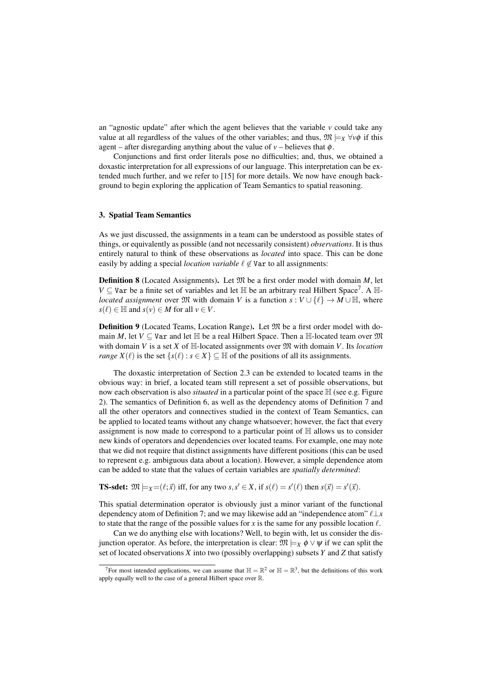an "agnostic update" after which the agent believes that the variable  $\nu$  could take any value at all regardless of the values of the other variables; and thus,  $\mathfrak{M} \models_X \forall v \phi$  if this agent – after disregarding anything about the value of  $v$  – believes that  $\phi$ .

Conjunctions and first order literals pose no difficulties; and, thus, we obtained a doxastic interpretation for all expressions of our language. This interpretation can be extended much further, and we refer to [15] for more details. We now have enough background to begin exploring the application of Team Semantics to spatial reasoning.

#### 3. Spatial Team Semantics

As we just discussed, the assignments in a team can be understood as possible states of things, or equivalently as possible (and not necessarily consistent) *observations*. It is thus entirely natural to think of these observations as *located* into space. This can be done easily by adding a special *location variable*  $\ell \notin \mathbb{V}$  ar to all assignments:

Definition 8 (Located Assignments). Let M be a first order model with domain *M*, let  $V \subseteq \text{Var}$  be a finite set of variables and let  $\mathbb{H}$  be an arbitrary real Hilbert Space<sup>7</sup>. A  $\mathbb{H}$ *located assignment* over  $\mathfrak{M}$  with domain *V* is a function  $s : V \cup \{ \ell \} \rightarrow M \cup \mathbb{H}$ , where  $s(\ell) \in \mathbb{H}$  and  $s(v) \in M$  for all  $v \in V$ .

**Definition 9** (Located Teams, Location Range). Let  $\mathfrak{M}$  be a first order model with domain *M*, let *V*  $\subseteq$  Var and let  $\mathbb{H}$  be a real Hilbert Space. Then a  $\mathbb{H}$ -located team over  $\mathfrak{M}$ with domain *V* is a set *X* of H-located assignments over M with domain *V*. Its *location range*  $X(\ell)$  is the set  $\{s(\ell) : s \in X\} \subseteq \mathbb{H}$  of the positions of all its assignments.

The doxastic interpretation of Section 2.3 can be extended to located teams in the obvious way: in brief, a located team still represent a set of possible observations, but now each observation is also *situated* in a particular point of the space  $\mathbb{H}$  (see e.g. Figure 2). The semantics of Definition 6, as well as the dependency atoms of Definition 7 and all the other operators and connectives studied in the context of Team Semantics, can be applied to located teams without any change whatsoever; however, the fact that every assignment is now made to correspond to a particular point of  $\mathbb H$  allows us to consider new kinds of operators and dependencies over located teams. For example, one may note that we did not require that distinct assignments have different positions (this can be used to represent e.g. ambiguous data about a location). However, a simple dependence atom can be added to state that the values of certain variables are *spatially determined*:

**TS-sdet:**  $\mathfrak{M} \models_X = (\ell; \vec{x})$  iff, for any two  $s, s' \in X$ , if  $s(\ell) = s'(\ell)$  then  $s(\vec{x}) = s'(\vec{x})$ .

This spatial determination operator is obviously just a minor variant of the functional dependency atom of Definition 7; and we may likewise add an "independence atom"  $\ell \perp x$ to state that the range of the possible values for *x* is the same for any possible location  $\ell$ .

Can we do anything else with locations? Well, to begin with, let us consider the disjunction operator. As before, the interpretation is clear:  $\mathfrak{M} \models_X \phi \lor \psi$  if we can split the set of located observations *X* into two (possibly overlapping) subsets *Y* and *Z* that satisfy

<sup>&</sup>lt;sup>7</sup>For most intended applications, we can assume that  $\mathbb{H} = \mathbb{R}^2$  or  $\mathbb{H} = \mathbb{R}^3$ , but the definitions of this work apply equally well to the case of a general Hilbert space over R.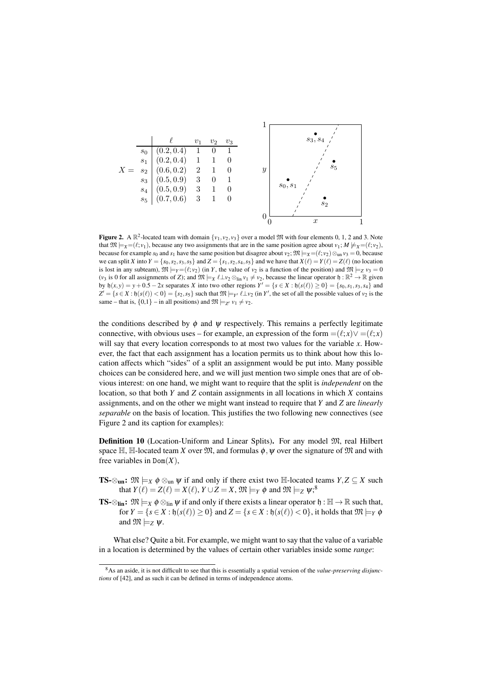

**Figure 2.** A  $\mathbb{R}^2$ -located team with domain  $\{v_1, v_2, v_3\}$  over a model  $\mathfrak{M}$  with four elements 0, 1, 2 and 3. Note that  $\mathfrak{M} \models_{\mathfrak{X}} (\ell; \nu_1)$ , because any two assignments that are in the same position agree about  $\nu_1$ ;  $M \not\models_{\mathfrak{X}} (\ell; \nu_2)$ , because for example  $s_0$  and  $s_1$  have the same position but disagree about  $v_2$ ;  $\mathfrak{M} \models_X = (\ell; v_2) \otimes_{un} v_3 = 0$ , because we can split *X* into  $Y = \{s_0, s_2, s_3, s_5\}$  and  $Z = \{s_1, s_2, s_4, s_5\}$  and we have that  $X(\ell) = Y(\ell) = Z(\ell)$  (no location is lost in any subteam),  $\mathfrak{M} \models_Y = (\ell; \nu_2)$  (in *Y*, the value of  $\nu_2$  is a function of the position) and  $\mathfrak{M} \models_Z \nu_3 = 0$ (*v*<sub>3</sub> is 0 for all assignments of *Z*); and  $\mathfrak{M} \models_X \ell \bot \nu_2 \otimes_{\text{lin}} \nu_1 \neq \nu_2$ , because the linear operator  $\mathfrak{h} : \mathbb{R}^2 \to \mathbb{R}$  given by  $h(x, y) = y + 0.5 - 2x$  separates *X* into two other regions  $Y' = \{s \in X : h(s(\ell)) \ge 0\} = \{s_0, s_1, s_3, s_4\}$  and  $Z' = \{s \in X : \mathfrak{h}(s(\ell)) < 0\} = \{s_2, s_5\}$  such that  $\mathfrak{M} \models_{Y'} \ell \bot \nu_2$  (in *Y'*, the set of all the possible values of  $\nu_2$  is the same – that is,  $\{0,1\}$  – in all positions) and  $\mathfrak{M}\models_{Z'} v_1 \neq v_2$ .

the conditions described by  $\phi$  and  $\psi$  respectively. This remains a perfectly legitimate connective, with obvious uses – for example, an expression of the form  $=(\ell; x) \vee = (\ell; x)$ will say that every location corresponds to at most two values for the variable *x*. However, the fact that each assignment has a location permits us to think about how this location affects which "sides" of a split an assignment would be put into. Many possible choices can be considered here, and we will just mention two simple ones that are of obvious interest: on one hand, we might want to require that the split is *independent* on the location, so that both *Y* and *Z* contain assignments in all locations in which *X* contains assignments, and on the other we might want instead to require that *Y* and *Z* are *linearly separable* on the basis of location. This justifies the two following new connectives (see Figure 2 and its caption for examples):

Definition 10 (Location-Uniform and Linear Splits). For any model  $\mathfrak{M}$ , real Hilbert space  $\mathbb{H}$ ,  $\mathbb{H}$ -located team *X* over  $\mathfrak{M}$ , and formulas  $\phi$ ,  $\psi$  over the signature of  $\mathfrak{M}$  and with free variables in  $Dom(X)$ ,

- **TS-**⊗<sub>un</sub>:  $\mathfrak{M} \models_X \phi \otimes_{\text{un}} \psi$  if and only if there exist two H-located teams  $Y, Z \subseteq X$  such that  $Y(\ell) = Z(\ell) = X(\ell), Y \cup Z = X, \mathfrak{M} \models_Y \phi \text{ and } \mathfrak{M} \models_Z \psi$ ;<sup>8</sup>
- **TS-** $\otimes$ **lin:**  $\mathfrak{M} \models_X \phi \otimes_{\text{lin}} \psi$  if and only if there exists a linear operator  $\mathfrak{h} : \mathbb{H} \to \mathbb{R}$  such that, for  $Y = \{s \in X : \mathfrak{h}(s(\ell)) \geq 0\}$  and  $Z = \{s \in X : \mathfrak{h}(s(\ell)) < 0\}$ , it holds that  $\mathfrak{M} \models_Y \phi$ and  $\mathfrak{M} \models_Z \psi$ .

What else? Quite a bit. For example, we might want to say that the value of a variable in a location is determined by the values of certain other variables inside some *range*:

<sup>8</sup>As an aside, it is not difficult to see that this is essentially a spatial version of the *value-preserving disjunctions* of [42], and as such it can be defined in terms of independence atoms.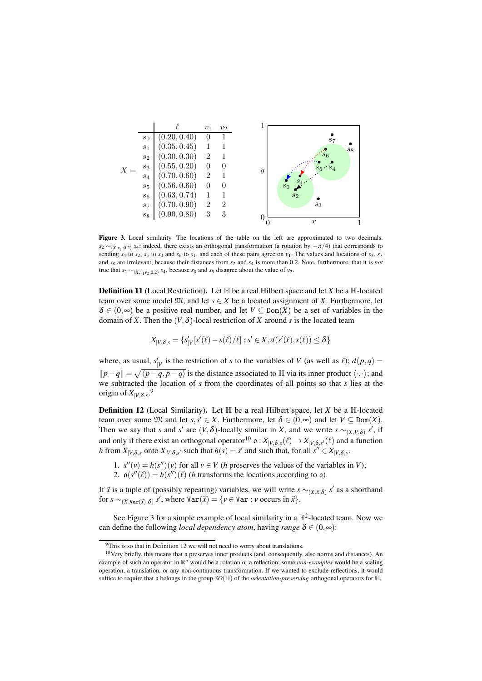

Figure 3. Local similarity. The locations of the table on the left are approximated to two decimals.  $s_2 \sim (X, v_1, 0.2)$  s<sub>4</sub>: indeed, there exists an orthogonal transformation (a rotation by  $-\pi/4$ ) that corresponds to sending  $s_4$  to  $s_2$ ,  $s_5$  to  $s_0$  and  $s_6$  to  $s_1$ , and each of these pairs agree on  $v_1$ . The values and locations of  $s_3$ ,  $s_7$ and *s*<sup>8</sup> are irrelevant, because their distances from *s*<sup>2</sup> and *s*<sup>4</sup> is more than 0.2. Note, furthermore, that it is *not* true that  $s_2 \sim_{(X, v_1, v_2, 0, 2)} s_4$ , because  $s_0$  and  $s_5$  disagree about the value of  $v_2$ .

**Definition 11** (Local Restriction). Let  $\mathbb{H}$  be a real Hilbert space and let *X* be a  $\mathbb{H}$ -located team over some model  $\mathfrak{M}$ , and let  $s \in X$  be a located assignment of X. Furthermore, let  $\delta \in (0,\infty)$  be a positive real number, and let  $V \subseteq Dom(X)$  be a set of variables in the domain of *X*. Then the  $(V, \delta)$ -local restriction of *X* around *s* is the located team

$$
X_{|V,\delta,s} = \{s'_{|V}[s'(\ell) - s(\ell)/\ell] : s' \in X, d(s'(\ell), s(\ell)) \leq \delta\}
$$

where, as usual,  $s'_{|V}$  is the restriction of *s* to the variables of *V* (as well as  $\ell$ );  $d(p,q)$  =  $||p-q|| = \sqrt{\langle p-q, p-q \rangle}$  is the distance associated to H via its inner product  $\langle \cdot, \cdot \rangle$ ; and we subtracted the location of *s* from the coordinates of all points so that *s* lies at the origin of  $X_{|V,\delta,s}$ .<sup>9</sup>

**Definition 12** (Local Similarity). Let  $\mathbb{H}$  be a real Hilbert space, let *X* be a  $\mathbb{H}$ -located team over some  $\mathfrak{M}$  and let  $s, s' \in X$ . Furthermore, let  $\delta \in (0, \infty)$  and let  $V \subseteq \text{Dom}(X)$ . Then we say that *s* and *s*' are  $(V, \delta)$ -locally similar in *X*, and we write  $s \sim_{(X, V, \delta)} s'$ , if and only if there exist an orthogonal operator<sup>10</sup>  $\mathfrak{o}: X_{|V,\delta,s}(\ell) \to X_{|V,\delta,s'}(\ell)$  and a function *h* from  $X_{|V,\delta,s}$  onto  $X_{|V,\delta,s'}$  such that  $h(s) = s'$  and such that, for all  $s'' \in X_{|V,\delta,s}$ .

1.  $s''(v) = h(s'')(v)$  for all  $v \in V$  (*h* preserves the values of the variables in *V*); 2.  $\mathfrak{o}(s''(\ell)) = h(s'')(\ell)$  (*h* transforms the locations according to  $\mathfrak{o}$ ).

If  $\vec{x}$  is a tuple of (possibly repeating) variables, we will write  $s \sim (X, \vec{x}, \delta)$  *s*' as a shorthand for  $s \sim_{(X, \text{Var}(\vec{x}), \delta)} s'$ , where  $\text{Var}(\vec{x}) = \{v \in \text{Var} : v \text{ occurs in } \vec{x}\}.$ 

See Figure 3 for a simple example of local similarity in a  $\mathbb{R}^2$ -located team. Now we can define the following *local dependency atom*, having *range*  $\delta \in (0, \infty)$ :

 $9$ This is so that in Definition 12 we will not need to worry about translations.

<sup>10</sup>Very briefly, this means that o preserves inner products (and, consequently, also norms and distances). An example of such an operator in  $\mathbb{R}^n$  would be a rotation or a reflection; some *non-examples* would be a scaling operation, a translation, or any non-continuous transformation. If we wanted to exclude reflections, it would suffice to require that  $\mathfrak o$  belongs in the group  $SO(\mathbb H)$  of the *orientation-preserving* orthogonal operators for  $\mathbb H$ .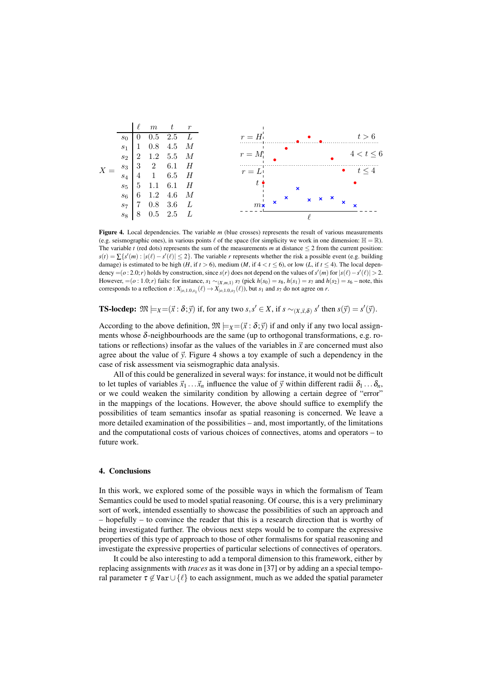

Figure 4. Local dependencies. The variable *m* (blue crosses) represents the result of various measurements (e.g. seismographic ones), in various points  $\ell$  of the space (for simplicity we work in one dimension:  $\mathbb{H} = \mathbb{R}$ ). The variable *t* (red dots) represents the sum of the measurements *m* at distance ≤ 2 from the current position:  $s(t) = \sum \{s'(m) : |s(\ell) - s'(\ell)| \leq 2\}$ . The variable *r* represents whether the risk a possible event (e.g. building damage) is estimated to be high (*H*, if  $t > 6$ ), medium (*M*, if  $4 < t \le 6$ ), or low (*L*, if  $t \le 4$ ). The local dependency =  $(o: 2.0; r)$  holds by construction, since *s*(*r*) does not depend on the values of *s*'(*m*) for  $|s(\ell) - s'(\ell)| > 2$ . However, =(*o* : 1.0;*r*) fails: for instance, *s*<sub>1</sub> ∼(*x*,*m*,1) *s*<sub>7</sub> (pick *h*(*s*<sub>0</sub>) = *s*<sub>8</sub>, *h*(*s*<sub>1</sub>) = *s*<sub>7</sub> and *h*(*s*<sub>2</sub>) = *s*<sub>6</sub> − note, this corresponds to a reflection  $\mathfrak{o}: X_{[o,1.0,s_1}(\ell) \to X_{[o,1.0,s_7}(\ell))$ , but  $s_1$  and  $s_7$  do not agree on *r*.

**TS-locdep:**  $\mathfrak{M} \models_X = (\vec{x} : \delta; \vec{y})$  if, for any two  $s, s' \in X$ , if  $s \sim_{(X, \vec{x}, \delta)} s'$  then  $s(\vec{y}) = s'(\vec{y})$ .

According to the above definition,  $\mathfrak{M} \models_X = (\vec{x} : \delta; \vec{y})$  if and only if any two local assignments whose  $\delta$ -neighbourhoods are the same (up to orthogonal transformations, e.g. rotations or reflections) insofar as the values of the variables in  $\vec{x}$  are concerned must also agree about the value of  $\vec{y}$ . Figure 4 shows a toy example of such a dependency in the case of risk assessment via seismographic data analysis.

All of this could be generalized in several ways: for instance, it would not be difficult to let tuples of variables  $\vec{x}_1 \ldots \vec{x}_n$  influence the value of  $\vec{y}$  within different radii  $\delta_1 \ldots \delta_n$ , or we could weaken the similarity condition by allowing a certain degree of "error" in the mappings of the locations. However, the above should suffice to exemplify the possibilities of team semantics insofar as spatial reasoning is concerned. We leave a more detailed examination of the possibilities – and, most importantly, of the limitations and the computational costs of various choices of connectives, atoms and operators – to future work.

#### 4. Conclusions

In this work, we explored some of the possible ways in which the formalism of Team Semantics could be used to model spatial reasoning. Of course, this is a very preliminary sort of work, intended essentially to showcase the possibilities of such an approach and – hopefully – to convince the reader that this is a research direction that is worthy of being investigated further. The obvious next steps would be to compare the expressive properties of this type of approach to those of other formalisms for spatial reasoning and investigate the expressive properties of particular selections of connectives of operators.

It could be also interesting to add a temporal dimension to this framework, either by replacing assignments with *traces* as it was done in [37] or by adding an a special temporal parameter  $\tau \notin \text{Var} \cup \{ \ell \}$  to each assignment, much as we added the spatial parameter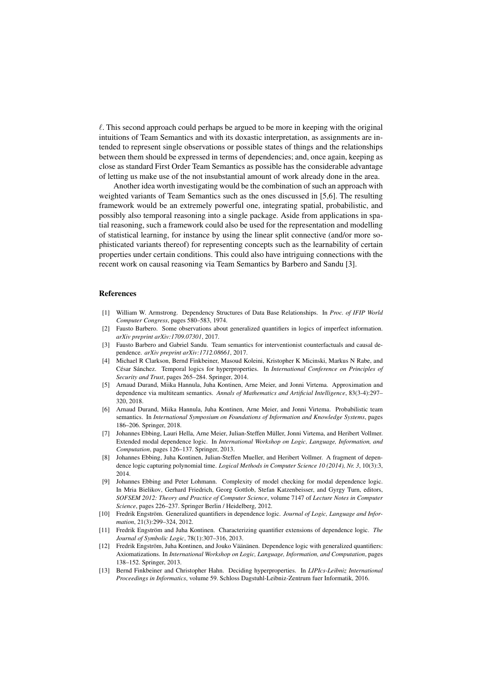$\ell$ . This second approach could perhaps be argued to be more in keeping with the original intuitions of Team Semantics and with its doxastic interpretation, as assignments are intended to represent single observations or possible states of things and the relationships between them should be expressed in terms of dependencies; and, once again, keeping as close as standard First Order Team Semantics as possible has the considerable advantage of letting us make use of the not insubstantial amount of work already done in the area.

Another idea worth investigating would be the combination of such an approach with weighted variants of Team Semantics such as the ones discussed in [5,6]. The resulting framework would be an extremely powerful one, integrating spatial, probabilistic, and possibly also temporal reasoning into a single package. Aside from applications in spatial reasoning, such a framework could also be used for the representation and modelling of statistical learning, for instance by using the linear split connective (and/or more sophisticated variants thereof) for representing concepts such as the learnability of certain properties under certain conditions. This could also have intriguing connections with the recent work on causal reasoning via Team Semantics by Barbero and Sandu [3].

#### References

- [1] William W. Armstrong. Dependency Structures of Data Base Relationships. In *Proc. of IFIP World Computer Congress*, pages 580–583, 1974.
- [2] Fausto Barbero. Some observations about generalized quantifiers in logics of imperfect information. *arXiv preprint arXiv:1709.07301*, 2017.
- [3] Fausto Barbero and Gabriel Sandu. Team semantics for interventionist counterfactuals and causal dependence. *arXiv preprint arXiv:1712.08661*, 2017.
- [4] Michael R Clarkson, Bernd Finkbeiner, Masoud Koleini, Kristopher K Micinski, Markus N Rabe, and César Sánchez. Temporal logics for hyperproperties. In *International Conference on Principles of Security and Trust*, pages 265–284. Springer, 2014.
- [5] Arnaud Durand, Miika Hannula, Juha Kontinen, Arne Meier, and Jonni Virtema. Approximation and dependence via multiteam semantics. *Annals of Mathematics and Artificial Intelligence*, 83(3-4):297– 320, 2018.
- [6] Arnaud Durand, Miika Hannula, Juha Kontinen, Arne Meier, and Jonni Virtema. Probabilistic team semantics. In *International Symposium on Foundations of Information and Knowledge Systems*, pages 186–206. Springer, 2018.
- [7] Johannes Ebbing, Lauri Hella, Arne Meier, Julian-Steffen Müller, Jonni Virtema, and Heribert Vollmer. Extended modal dependence logic. In *International Workshop on Logic, Language, Information, and Computation*, pages 126–137. Springer, 2013.
- [8] Johannes Ebbing, Juha Kontinen, Julian-Steffen Mueller, and Heribert Vollmer. A fragment of dependence logic capturing polynomial time. *Logical Methods in Computer Science 10 (2014), Nr. 3*, 10(3):3, 2014.
- [9] Johannes Ebbing and Peter Lohmann. Complexity of model checking for modal dependence logic. In Mria Bielikov, Gerhard Friedrich, Georg Gottlob, Stefan Katzenbeisser, and Gyrgy Turn, editors, *SOFSEM 2012: Theory and Practice of Computer Science*, volume 7147 of *Lecture Notes in Computer Science*, pages 226–237. Springer Berlin / Heidelberg, 2012.
- [10] Fredrik Engström. Generalized quantifiers in dependence logic. Journal of Logic, Language and Infor*mation*, 21(3):299–324, 2012.
- [11] Fredrik Engström and Juha Kontinen. Characterizing quantifier extensions of dependence logic. The *Journal of Symbolic Logic*, 78(1):307–316, 2013.
- [12] Fredrik Engström, Juha Kontinen, and Jouko Väänänen. Dependence logic with generalized quantifiers: Axiomatizations. In *International Workshop on Logic, Language, Information, and Computation*, pages 138–152. Springer, 2013.
- [13] Bernd Finkbeiner and Christopher Hahn. Deciding hyperproperties. In *LIPIcs-Leibniz International Proceedings in Informatics*, volume 59. Schloss Dagstuhl-Leibniz-Zentrum fuer Informatik, 2016.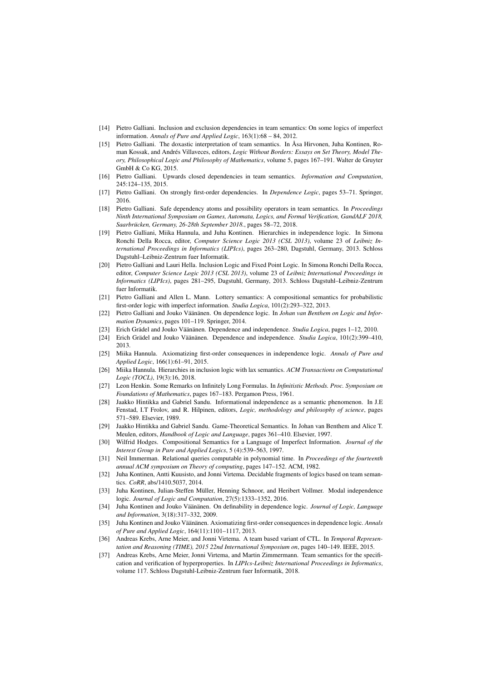- [14] Pietro Galliani. Inclusion and exclusion dependencies in team semantics: On some logics of imperfect information. *Annals of Pure and Applied Logic*, 163(1):68 – 84, 2012.
- [15] Pietro Galliani. The doxastic interpretation of team semantics. In Åsa Hirvonen, Juha Kontinen, Roman Kossak, and Andrés Villaveces, editors, *Logic Without Borders: Essays on Set Theory, Model Theory, Philosophical Logic and Philosophy of Mathematics*, volume 5, pages 167–191. Walter de Gruyter GmbH & Co KG, 2015.
- [16] Pietro Galliani. Upwards closed dependencies in team semantics. *Information and Computation*, 245:124–135, 2015.
- [17] Pietro Galliani. On strongly first-order dependencies. In *Dependence Logic*, pages 53–71. Springer, 2016.
- [18] Pietro Galliani. Safe dependency atoms and possibility operators in team semantics. In *Proceedings Ninth International Symposium on Games, Automata, Logics, and Formal Verification, GandALF 2018, Saarbrucken, Germany, 26-28th September 2018. ¨* , pages 58–72, 2018.
- [19] Pietro Galliani, Miika Hannula, and Juha Kontinen. Hierarchies in independence logic. In Simona Ronchi Della Rocca, editor, *Computer Science Logic 2013 (CSL 2013)*, volume 23 of *Leibniz International Proceedings in Informatics (LIPIcs)*, pages 263–280, Dagstuhl, Germany, 2013. Schloss Dagstuhl–Leibniz-Zentrum fuer Informatik.
- [20] Pietro Galliani and Lauri Hella. Inclusion Logic and Fixed Point Logic. In Simona Ronchi Della Rocca, editor, *Computer Science Logic 2013 (CSL 2013)*, volume 23 of *Leibniz International Proceedings in Informatics (LIPIcs)*, pages 281–295, Dagstuhl, Germany, 2013. Schloss Dagstuhl–Leibniz-Zentrum fuer Informatik.
- [21] Pietro Galliani and Allen L. Mann. Lottery semantics: A compositional semantics for probabilistic first-order logic with imperfect information. *Studia Logica*, 101(2):293–322, 2013.
- [22] Pietro Galliani and Jouko Väänänen. On dependence logic. In *Johan van Benthem on Logic and Information Dynamics*, pages 101–119. Springer, 2014.
- [23] Erich Grädel and Jouko Väänänen. Dependence and independence. *Studia Logica*, pages 1–12, 2010.
- [24] Erich Grädel and Jouko Väänänen. Dependence and independence. *Studia Logica*, 101(2):399–410, 2013.
- [25] Miika Hannula. Axiomatizing first-order consequences in independence logic. *Annals of Pure and Applied Logic*, 166(1):61–91, 2015.
- [26] Miika Hannula. Hierarchies in inclusion logic with lax semantics. *ACM Transactions on Computational Logic (TOCL)*, 19(3):16, 2018.
- [27] Leon Henkin. Some Remarks on Infinitely Long Formulas. In *Infinitistic Methods. Proc. Symposium on Foundations of Mathematics*, pages 167–183. Pergamon Press, 1961.
- [28] Jaakko Hintikka and Gabriel Sandu. Informational independence as a semantic phenomenon. In J.E Fenstad, I.T Frolov, and R. Hilpinen, editors, *Logic, methodology and philosophy of science*, pages 571–589. Elsevier, 1989.
- [29] Jaakko Hintikka and Gabriel Sandu. Game-Theoretical Semantics. In Johan van Benthem and Alice T. Meulen, editors, *Handbook of Logic and Language*, pages 361–410. Elsevier, 1997.
- [30] Wilfrid Hodges. Compositional Semantics for a Language of Imperfect Information. *Journal of the Interest Group in Pure and Applied Logics*, 5 (4):539–563, 1997.
- [31] Neil Immerman. Relational queries computable in polynomial time. In *Proceedings of the fourteenth annual ACM symposium on Theory of computing*, pages 147–152. ACM, 1982.
- [32] Juha Kontinen, Antti Kuusisto, and Jonni Virtema. Decidable fragments of logics based on team semantics. *CoRR*, abs/1410.5037, 2014.
- [33] Juha Kontinen, Julian-Steffen Müller, Henning Schnoor, and Heribert Vollmer. Modal independence logic. *Journal of Logic and Computation*, 27(5):1333–1352, 2016.
- [34] Juha Kontinen and Jouko Väänänen. On definability in dependence logic. *Journal of Logic, Language and Information*, 3(18):317–332, 2009.
- [35] Juha Kontinen and Jouko Väänänen. Axiomatizing first-order consequences in dependence logic. Annals *of Pure and Applied Logic*, 164(11):1101–1117, 2013.
- [36] Andreas Krebs, Arne Meier, and Jonni Virtema. A team based variant of CTL. In *Temporal Representation and Reasoning (TIME), 2015 22nd International Symposium on*, pages 140–149. IEEE, 2015.
- [37] Andreas Krebs, Arne Meier, Jonni Virtema, and Martin Zimmermann. Team semantics for the specification and verification of hyperproperties. In *LIPIcs-Leibniz International Proceedings in Informatics*, volume 117. Schloss Dagstuhl-Leibniz-Zentrum fuer Informatik, 2018.